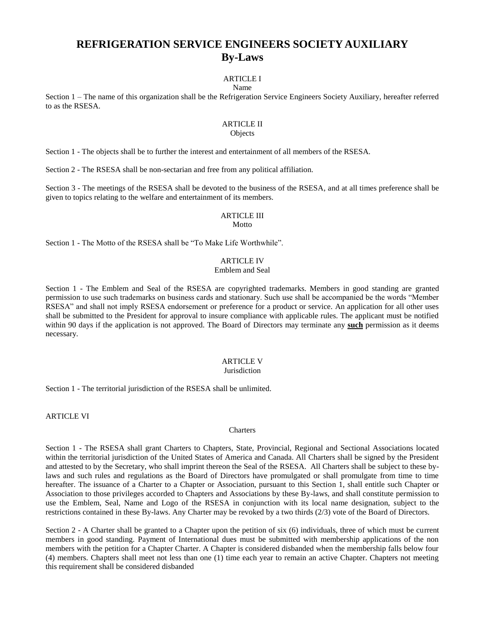# **REFRIGERATION SERVICE ENGINEERS SOCIETY AUXILIARY By-Laws**

# ARTICLE I

#### Name

Section 1 – The name of this organization shall be the Refrigeration Service Engineers Society Auxiliary, hereafter referred to as the RSESA.

### **ARTICLE II**

#### **Objects**

Section 1 - The objects shall be to further the interest and entertainment of all members of the RSESA.

Section 2 - The RSESA shall be non-sectarian and free from any political affiliation.

Section 3 - The meetings of the RSESA shall be devoted to the business of the RSESA, and at all times preference shall be given to topics relating to the welfare and entertainment of its members.

# ARTICLE III

**Motto** 

Section 1 - The Motto of the RSESA shall be "To Make Life Worthwhile".

### ARTICLE IV

#### Emblem and Seal

Section 1 - The Emblem and Seal of the RSESA are copyrighted trademarks. Members in good standing are granted permission to use such trademarks on business cards and stationary. Such use shall be accompanied be the words "Member RSESA" and shall not imply RSESA endorsement or preference for a product or service. An application for all other uses shall be submitted to the President for approval to insure compliance with applicable rules. The applicant must be notified within 90 days if the application is not approved. The Board of Directors may terminate any **such** permission as it deems necessary.

### ARTICLE V

#### Jurisdiction

Section 1 - The territorial jurisdiction of the RSESA shall be unlimited.

ARTICLE VI

#### **Charters**

Section 1 - The RSESA shall grant Charters to Chapters, State, Provincial, Regional and Sectional Associations located within the territorial jurisdiction of the United States of America and Canada. All Charters shall be signed by the President and attested to by the Secretary, who shall imprint thereon the Seal of the RSESA. All Charters shall be subject to these bylaws and such rules and regulations as the Board of Directors have promulgated or shall promulgate from time to time hereafter. The issuance of a Charter to a Chapter or Association, pursuant to this Section 1, shall entitle such Chapter or Association to those privileges accorded to Chapters and Associations by these By-laws, and shall constitute permission to use the Emblem, Seal, Name and Logo of the RSESA in conjunction with its local name designation, subject to the restrictions contained in these By-laws. Any Charter may be revoked by a two thirds (2/3) vote of the Board of Directors.

Section 2 - A Charter shall be granted to a Chapter upon the petition of six (6) individuals, three of which must be current members in good standing. Payment of International dues must be submitted with membership applications of the non members with the petition for a Chapter Charter. A Chapter is considered disbanded when the membership falls below four (4) members. Chapters shall meet not less than one (1) time each year to remain an active Chapter. Chapters not meeting this requirement shall be considered disbanded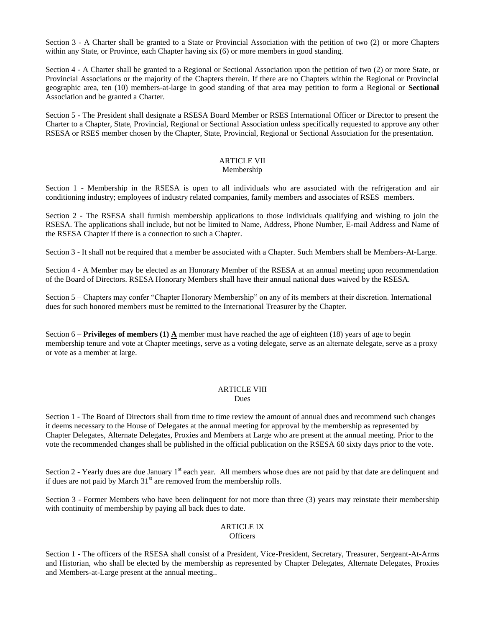Section 3 - A Charter shall be granted to a State or Provincial Association with the petition of two (2) or more Chapters within any State, or Province, each Chapter having six (6) or more members in good standing.

Section 4 - A Charter shall be granted to a Regional or Sectional Association upon the petition of two (2) or more State, or Provincial Associations or the majority of the Chapters therein. If there are no Chapters within the Regional or Provincial geographic area, ten (10) members-at-large in good standing of that area may petition to form a Regional or **Sectional**  Association and be granted a Charter.

Section 5 - The President shall designate a RSESA Board Member or RSES International Officer or Director to present the Charter to a Chapter, State, Provincial, Regional or Sectional Association unless specifically requested to approve any other RSESA or RSES member chosen by the Chapter, State, Provincial, Regional or Sectional Association for the presentation.

#### ARTICLE VII Membership

Section 1 - Membership in the RSESA is open to all individuals who are associated with the refrigeration and air conditioning industry; employees of industry related companies, family members and associates of RSES members.

Section 2 - The RSESA shall furnish membership applications to those individuals qualifying and wishing to join the RSESA. The applications shall include, but not be limited to Name, Address, Phone Number, E-mail Address and Name of the RSESA Chapter if there is a connection to such a Chapter.

Section 3 - It shall not be required that a member be associated with a Chapter. Such Members shall be Members-At-Large.

Section 4 - A Member may be elected as an Honorary Member of the RSESA at an annual meeting upon recommendation of the Board of Directors. RSESA Honorary Members shall have their annual national dues waived by the RSESA.

Section 5 – Chapters may confer "Chapter Honorary Membership" on any of its members at their discretion. International dues for such honored members must be remitted to the International Treasurer by the Chapter.

Section 6 – **Privileges of members (1) A** member must have reached the age of eighteen (18) years of age to begin membership tenure and vote at Chapter meetings, serve as a voting delegate, serve as an alternate delegate, serve as a proxy or vote as a member at large.

# ARTICLE VIII

Dues

Section 1 - The Board of Directors shall from time to time review the amount of annual dues and recommend such changes it deems necessary to the House of Delegates at the annual meeting for approval by the membership as represented by Chapter Delegates, Alternate Delegates, Proxies and Members at Large who are present at the annual meeting. Prior to the vote the recommended changes shall be published in the official publication on the RSESA 60 sixty days prior to the vote.

Section  $2$  - Yearly dues are due January 1<sup>st</sup> each year. All members whose dues are not paid by that date are delinquent and if dues are not paid by March  $31<sup>st</sup>$  are removed from the membership rolls.

Section 3 - Former Members who have been delinquent for not more than three (3) years may reinstate their membership with continuity of membership by paying all back dues to date.

#### ARTICLE IX **Officers**

Section 1 - The officers of the RSESA shall consist of a President, Vice-President, Secretary, Treasurer, Sergeant-At-Arms and Historian, who shall be elected by the membership as represented by Chapter Delegates, Alternate Delegates, Proxies and Members-at-Large present at the annual meeting..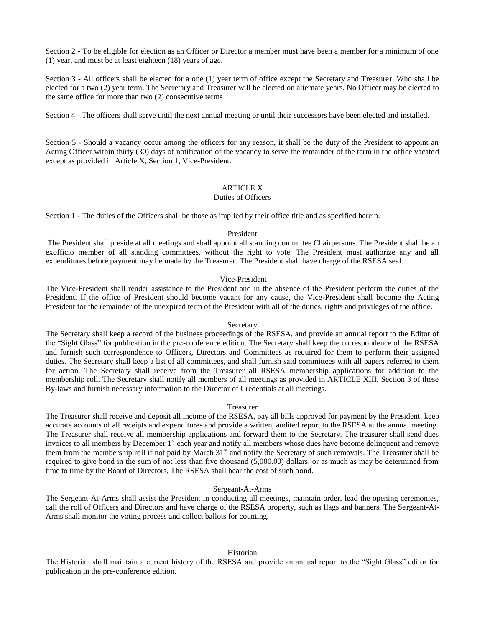Section 2 - To be eligible for election as an Officer or Director a member must have been a member for a minimum of one (1) year, and must be at least eighteen (18) years of age.

Section 3 - All officers shall be elected for a one (1) year term of office except the Secretary and Treasurer. Who shall be elected for a two (2) year term. The Secretary and Treasurer will be elected on alternate years. No Officer may be elected to the same office for more than two (2) consecutive terms

Section 4 - The officers shall serve until the next annual meeting or until their successors have been elected and installed.

Section 5 - Should a vacancy occur among the officers for any reason, it shall be the duty of the President to appoint an Acting Officer within thirty (30) days of notification of the vacancy to serve the remainder of the term in the office vacated except as provided in Article X, Section 1, Vice-President.

#### ARTICLE X

#### Duties of Officers

Section 1 - The duties of the Officers shall be those as implied by their office title and as specified herein.

#### President

The President shall preside at all meetings and shall appoint all standing committee Chairpersons. The President shall be an exofficio member of all standing committees, without the right to vote. The President must authorize any and all expenditures before payment may be made by the Treasurer. The President shall have charge of the RSESA seal.

#### Vice-President

The Vice-President shall render assistance to the President and in the absence of the President perform the duties of the President. If the office of President should become vacant for any cause, the Vice-President shall become the Acting President for the remainder of the unexpired term of the President with all of the duties, rights and privileges of the office.

#### Secretary

The Secretary shall keep a record of the business proceedings of the RSESA, and provide an annual report to the Editor of the "Sight Glass" for publication in the pre-conference edition. The Secretary shall keep the correspondence of the RSESA and furnish such correspondence to Officers, Directors and Committees as required for them to perform their assigned duties. The Secretary shall keep a list of all committees, and shall furnish said committees with all papers referred to them for action. The Secretary shall receive from the Treasurer all RSESA membership applications for addition to the membership roll. The Secretary shall notify all members of all meetings as provided in ARTICLE XIII, Section 3 of these By-laws and furnish necessary information to the Director of Credentials at all meetings.

#### Treasurer

The Treasurer shall receive and deposit all income of the RSESA, pay all bills approved for payment by the President, keep accurate accounts of all receipts and expenditures and provide a written, audited report to the RSESA at the annual meeting. The Treasurer shall receive all membership applications and forward them to the Secretary. The treasurer shall send dues invoices to all members by December 1<sup>st</sup> each year and notify all members whose dues have become delinquent and remove them from the membership roll if not paid by March 31<sup>st</sup> and notify the Secretary of such removals. The Treasurer shall be required to give bond in the sum of not less than five thousand (5,000.00) dollars, or as much as may be determined from time to time by the Board of Directors. The RSESA shall bear the cost of such bond.

#### Sergeant-At-Arms

The Sergeant-At-Arms shall assist the President in conducting all meetings, maintain order, lead the opening ceremonies, call the roll of Officers and Directors and have charge of the RSESA property, such as flags and banners. The Sergeant-At-Arms shall monitor the voting process and collect ballots for counting.

#### Historian

The Historian shall maintain a current history of the RSESA and provide an annual report to the "Sight Glass" editor for publication in the pre-conference edition.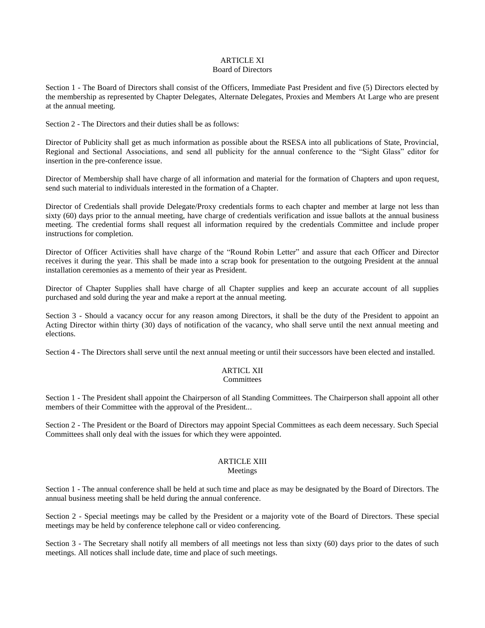#### ARTICLE XI Board of Directors

Section 1 - The Board of Directors shall consist of the Officers, Immediate Past President and five (5) Directors elected by the membership as represented by Chapter Delegates, Alternate Delegates, Proxies and Members At Large who are present at the annual meeting.

Section 2 - The Directors and their duties shall be as follows:

Director of Publicity shall get as much information as possible about the RSESA into all publications of State, Provincial, Regional and Sectional Associations, and send all publicity for the annual conference to the "Sight Glass" editor for insertion in the pre-conference issue.

Director of Membership shall have charge of all information and material for the formation of Chapters and upon request, send such material to individuals interested in the formation of a Chapter.

Director of Credentials shall provide Delegate/Proxy credentials forms to each chapter and member at large not less than sixty (60) days prior to the annual meeting, have charge of credentials verification and issue ballots at the annual business meeting. The credential forms shall request all information required by the credentials Committee and include proper instructions for completion.

Director of Officer Activities shall have charge of the "Round Robin Letter" and assure that each Officer and Director receives it during the year. This shall be made into a scrap book for presentation to the outgoing President at the annual installation ceremonies as a memento of their year as President.

Director of Chapter Supplies shall have charge of all Chapter supplies and keep an accurate account of all supplies purchased and sold during the year and make a report at the annual meeting.

Section 3 - Should a vacancy occur for any reason among Directors, it shall be the duty of the President to appoint an Acting Director within thirty (30) days of notification of the vacancy, who shall serve until the next annual meeting and elections.

Section 4 - The Directors shall serve until the next annual meeting or until their successors have been elected and installed.

### ARTICL XII

### **Committees**

Section 1 - The President shall appoint the Chairperson of all Standing Committees. The Chairperson shall appoint all other members of their Committee with the approval of the President...

Section 2 - The President or the Board of Directors may appoint Special Committees as each deem necessary. Such Special Committees shall only deal with the issues for which they were appointed.

### ARTICLE XIII

#### Meetings

Section 1 - The annual conference shall be held at such time and place as may be designated by the Board of Directors. The annual business meeting shall be held during the annual conference.

Section 2 - Special meetings may be called by the President or a majority vote of the Board of Directors. These special meetings may be held by conference telephone call or video conferencing.

Section 3 - The Secretary shall notify all members of all meetings not less than sixty (60) days prior to the dates of such meetings. All notices shall include date, time and place of such meetings.